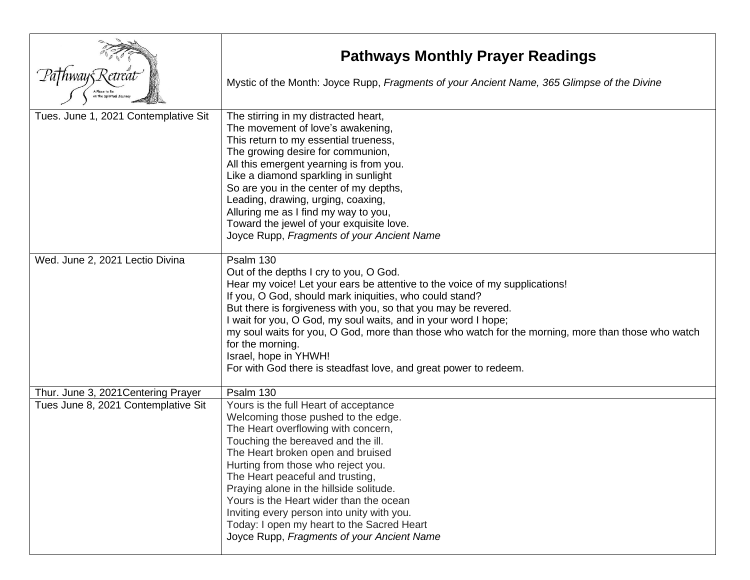| A Place to Be                                                              | <b>Pathways Monthly Prayer Readings</b><br>Mystic of the Month: Joyce Rupp, Fragments of your Ancient Name, 365 Glimpse of the Divine                                                                                                                                                                                                                                                                                                                                                                                                                    |
|----------------------------------------------------------------------------|----------------------------------------------------------------------------------------------------------------------------------------------------------------------------------------------------------------------------------------------------------------------------------------------------------------------------------------------------------------------------------------------------------------------------------------------------------------------------------------------------------------------------------------------------------|
| Tues. June 1, 2021 Contemplative Sit                                       | The stirring in my distracted heart,<br>The movement of love's awakening,<br>This return to my essential trueness,<br>The growing desire for communion,<br>All this emergent yearning is from you.<br>Like a diamond sparkling in sunlight<br>So are you in the center of my depths,<br>Leading, drawing, urging, coaxing,<br>Alluring me as I find my way to you,<br>Toward the jewel of your exquisite love.<br>Joyce Rupp, Fragments of your Ancient Name                                                                                             |
| Wed. June 2, 2021 Lectio Divina                                            | Psalm 130<br>Out of the depths I cry to you, O God.<br>Hear my voice! Let your ears be attentive to the voice of my supplications!<br>If you, O God, should mark iniquities, who could stand?<br>But there is forgiveness with you, so that you may be revered.<br>I wait for you, O God, my soul waits, and in your word I hope;<br>my soul waits for you, O God, more than those who watch for the morning, more than those who watch<br>for the morning.<br>Israel, hope in YHWH!<br>For with God there is steadfast love, and great power to redeem. |
| Thur. June 3, 2021 Centering Prayer<br>Tues June 8, 2021 Contemplative Sit | Psalm 130<br>Yours is the full Heart of acceptance<br>Welcoming those pushed to the edge.<br>The Heart overflowing with concern,<br>Touching the bereaved and the ill.<br>The Heart broken open and bruised<br>Hurting from those who reject you.<br>The Heart peaceful and trusting,<br>Praying alone in the hillside solitude.<br>Yours is the Heart wider than the ocean<br>Inviting every person into unity with you.<br>Today: I open my heart to the Sacred Heart<br>Joyce Rupp, Fragments of your Ancient Name                                    |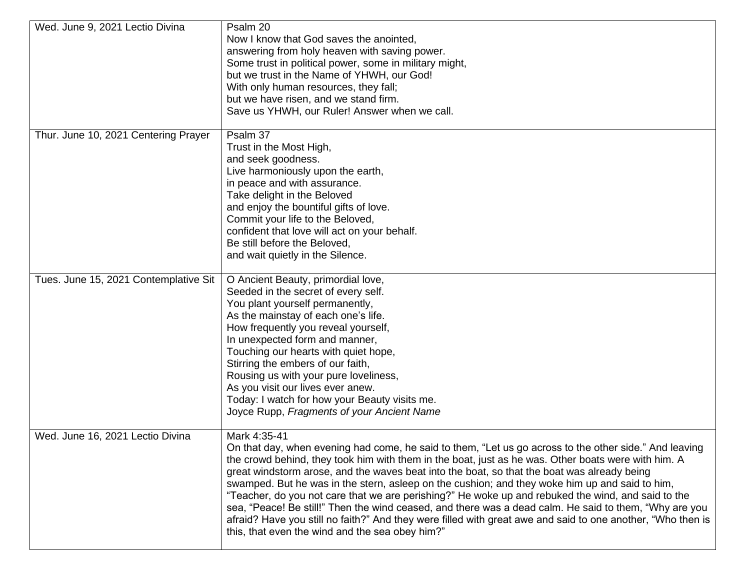| Wed. June 9, 2021 Lectio Divina       | Psalm 20<br>Now I know that God saves the anointed,<br>answering from holy heaven with saving power.<br>Some trust in political power, some in military might,<br>but we trust in the Name of YHWH, our God!<br>With only human resources, they fall;<br>but we have risen, and we stand firm.<br>Save us YHWH, our Ruler! Answer when we call.                                                                                                                                                                                                                                                                                                                                                                                                                                                                  |
|---------------------------------------|------------------------------------------------------------------------------------------------------------------------------------------------------------------------------------------------------------------------------------------------------------------------------------------------------------------------------------------------------------------------------------------------------------------------------------------------------------------------------------------------------------------------------------------------------------------------------------------------------------------------------------------------------------------------------------------------------------------------------------------------------------------------------------------------------------------|
| Thur. June 10, 2021 Centering Prayer  | Psalm 37<br>Trust in the Most High,<br>and seek goodness.<br>Live harmoniously upon the earth,<br>in peace and with assurance.<br>Take delight in the Beloved<br>and enjoy the bountiful gifts of love.<br>Commit your life to the Beloved,<br>confident that love will act on your behalf.<br>Be still before the Beloved,<br>and wait quietly in the Silence.                                                                                                                                                                                                                                                                                                                                                                                                                                                  |
| Tues. June 15, 2021 Contemplative Sit | O Ancient Beauty, primordial love,<br>Seeded in the secret of every self.<br>You plant yourself permanently,<br>As the mainstay of each one's life.<br>How frequently you reveal yourself,<br>In unexpected form and manner,<br>Touching our hearts with quiet hope,<br>Stirring the embers of our faith,<br>Rousing us with your pure loveliness,<br>As you visit our lives ever anew.<br>Today: I watch for how your Beauty visits me.<br>Joyce Rupp, Fragments of your Ancient Name                                                                                                                                                                                                                                                                                                                           |
| Wed. June 16, 2021 Lectio Divina      | Mark 4:35-41<br>On that day, when evening had come, he said to them, "Let us go across to the other side." And leaving<br>the crowd behind, they took him with them in the boat, just as he was. Other boats were with him. A<br>great windstorm arose, and the waves beat into the boat, so that the boat was already being<br>swamped. But he was in the stern, asleep on the cushion; and they woke him up and said to him,<br>"Teacher, do you not care that we are perishing?" He woke up and rebuked the wind, and said to the<br>sea, "Peace! Be still!" Then the wind ceased, and there was a dead calm. He said to them, "Why are you<br>afraid? Have you still no faith?" And they were filled with great awe and said to one another, "Who then is<br>this, that even the wind and the sea obey him?" |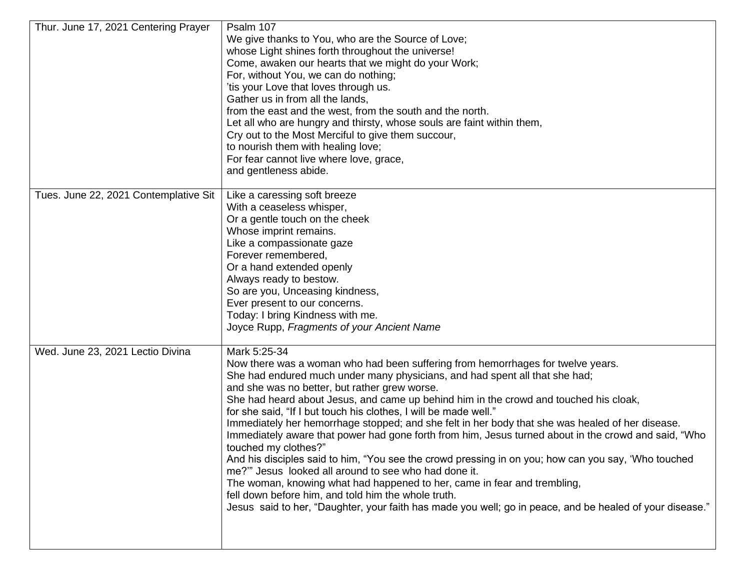| Thur. June 17, 2021 Centering Prayer  | Psalm 107<br>We give thanks to You, who are the Source of Love;<br>whose Light shines forth throughout the universe!<br>Come, awaken our hearts that we might do your Work;<br>For, without You, we can do nothing;<br>'tis your Love that loves through us.<br>Gather us in from all the lands,<br>from the east and the west, from the south and the north.<br>Let all who are hungry and thirsty, whose souls are faint within them,<br>Cry out to the Most Merciful to give them succour,<br>to nourish them with healing love;<br>For fear cannot live where love, grace,<br>and gentleness abide.                                                                                                                                                                                                                                                                                                                                                                                                                                         |
|---------------------------------------|-------------------------------------------------------------------------------------------------------------------------------------------------------------------------------------------------------------------------------------------------------------------------------------------------------------------------------------------------------------------------------------------------------------------------------------------------------------------------------------------------------------------------------------------------------------------------------------------------------------------------------------------------------------------------------------------------------------------------------------------------------------------------------------------------------------------------------------------------------------------------------------------------------------------------------------------------------------------------------------------------------------------------------------------------|
| Tues. June 22, 2021 Contemplative Sit | Like a caressing soft breeze<br>With a ceaseless whisper,<br>Or a gentle touch on the cheek<br>Whose imprint remains.<br>Like a compassionate gaze<br>Forever remembered,<br>Or a hand extended openly<br>Always ready to bestow.<br>So are you, Unceasing kindness,<br>Ever present to our concerns.<br>Today: I bring Kindness with me.<br>Joyce Rupp, Fragments of your Ancient Name                                                                                                                                                                                                                                                                                                                                                                                                                                                                                                                                                                                                                                                         |
| Wed. June 23, 2021 Lectio Divina      | Mark 5:25-34<br>Now there was a woman who had been suffering from hemorrhages for twelve years.<br>She had endured much under many physicians, and had spent all that she had;<br>and she was no better, but rather grew worse.<br>She had heard about Jesus, and came up behind him in the crowd and touched his cloak,<br>for she said, "If I but touch his clothes, I will be made well."<br>Immediately her hemorrhage stopped; and she felt in her body that she was healed of her disease.<br>Immediately aware that power had gone forth from him, Jesus turned about in the crowd and said, "Who<br>touched my clothes?"<br>And his disciples said to him, "You see the crowd pressing in on you; how can you say, 'Who touched<br>me?"" Jesus looked all around to see who had done it.<br>The woman, knowing what had happened to her, came in fear and trembling,<br>fell down before him, and told him the whole truth.<br>Jesus said to her, "Daughter, your faith has made you well; go in peace, and be healed of your disease." |